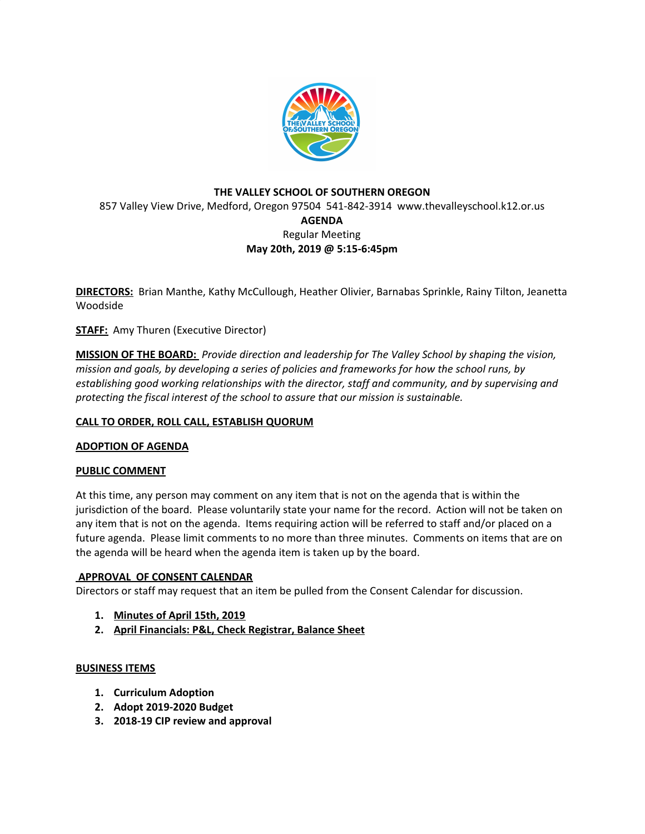

# **THE VALLEY SCHOOL OF SOUTHERN OREGON** 857 Valley View Drive, Medford, Oregon 97504 541-842-3914 www.thevalleyschool.k12.or.us **AGENDA** Regular Meeting **May 20th, 2019 @ 5:15-6:45pm**

**DIRECTORS:** Brian Manthe, Kathy McCullough, Heather Olivier, Barnabas Sprinkle, Rainy Tilton, Jeanetta Woodside

**STAFF:** Amy Thuren (Executive Director)

**MISSION OF THE BOARD:** *Provide direction and leadership for The Valley School by shaping the vision, mission and goals, by developing a series of policies and frameworks for how the school runs, by establishing good working relationships with the director, staff and community, and by supervising and protecting the fiscal interest of the school to assure that our mission is sustainable.*

## **CALL TO ORDER, ROLL CALL, ESTABLISH QUORUM**

## **ADOPTION OF AGENDA**

## **PUBLIC COMMENT**

At this time, any person may comment on any item that is not on the agenda that is within the jurisdiction of the board. Please voluntarily state your name for the record. Action will not be taken on any item that is not on the agenda. Items requiring action will be referred to staff and/or placed on a future agenda. Please limit comments to no more than three minutes. Comments on items that are on the agenda will be heard when the agenda item is taken up by the board.

## **APPROVAL OF CONSENT CALENDAR**

Directors or staff may request that an item be pulled from the Consent Calendar for discussion.

- **1. Minutes of April 15th, 2019**
- **2. April Financials: P&L, Check Registrar, Balance Sheet**

## **BUSINESS ITEMS**

- **1. Curriculum Adoption**
- **2. Adopt 2019-2020 Budget**
- **3. 2018-19 CIP review and approval**